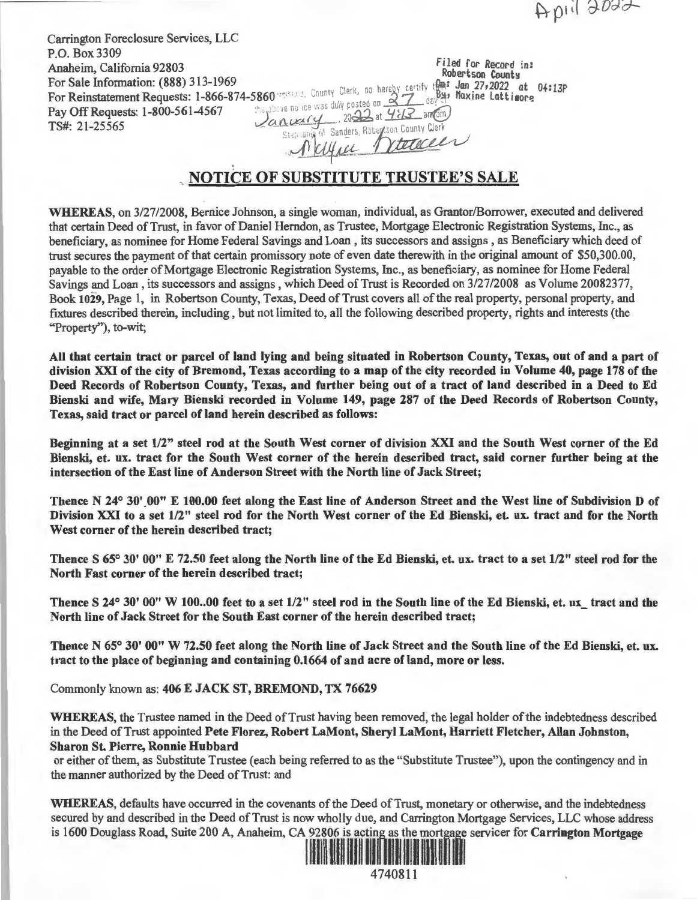April 2022

Carrington Foreclosure Services, LLC P.O. Box 3309 **Pay Off Requests: 1-800-561-4567**<br>**Pay Off Requests: 1-800-561-4567** *<i>is a converted* in 21, 25666

Anaheim, California 92803<br>For Sale Information: (888) 313-1969<br>For Beingtstement Bequests: 1, 866, 874, 5860 years, County Clerk, do hereby certify that Maxima 27, 2022 at 04:13p For Sale Information: (888) 313-1969<br>For Reinstatement Requests: 1-866-874-5860 ''s ", County Clerk, do hereby certify that I an 27,2022 at  $\frac{1}{2}$  day of the new the was duly posted on  $\frac{27}{412}$  day of TS#: 21-25565 . O....ll~--,-:- i' ,n•ler.s R0~:on c~ v. Ene ice was duly posted on 27 day of the 100 127,2022 at 04:13P<br>
e ne ice was duly posted on 27 day of the Lattimore<br>
Leary 2022 at 4:13 and the Lattimore<br>
Stap any M Sanders, Robertson County Clerk<br>
A CULALL TYLECOCLE

## **NOTICE OF SUBSTITUTE TRUSTEE'S SALE**

**WHEREAS,** on 3/27/2008, Bernice Johnson, a single woman, individual, as Grantor/Borrower, executed and delivered that certain Deed of Trust, in favor of Daniel Herndon, as Trustee, Mortgage Electronic Registration Systems, Inc., as beneficiary, as nominee for Home Federal Savings and Loan, its successors and assigns, as Beneficiary which deed of trust secures the payment of that certain promissory note of even date therewith in the original amount of \$50,300.00, payable to the order of Mortgage Electronic Registration Systems, Inc., as beneficiary, as nominee for Home Federal Savings and Loan , its successors and assigns , which Deed of Trust is Recorded on 3/27/2008 as Volume 20082377, Book **1029,** Page 1, in Robertson County, Texas, Deed of Trust covers all of the real property, personal property, and fixtures described therein, including, but not limited to, all the following described property, rights and interests (the "Property''), to-wit;

**All that certain tract or parcel of land lying and being situated in Robertson County, Texas, out of and a part of division XXI of the city of Bremond, Texas according to a map of the city recorded in Volume 40, page 178 of the Deed Records of Robertson County, Texas, and further being out of a tract of land described in a Deed to Ed Bienski and wife, Mary Bienski recorded in Volume 149, page 287 of the Deed Records of Robertson County,**  Texas, said tract or parcel of land herein described as follows:

**Beginning at a set 1/2" steel rod at the South West corner of division XXI and the South West corner of the Ed Bienski, et. ux. tract for the South West corner of the herein described tract, said corner further being at the intersection of the East line of Anderson Street with the North line of Jack Street;** 

Thence N 24° 30' 00" E 100.00 feet along the East line of Anderson Street and the West line of Subdivision D of **Division XXI to a set 1/2" steel rod for the North West corner of the Ed Bienski, et. ux. tract and for the North West corner of the herein described tract;** 

**Thence S 65° 30' 00" E 72.50 feet along the North line of the Ed Bienski, et. ux. tract to a set 1/2" steel rod for the North Fast corner of the herein described tract;** 

Thence S 24° 30' 00" W 100..00 feet to a set 1/2" steel rod in the South line of the Ed Bienski, et. ux tract and the **North line of Jack Street for the South East corner of the herein described tract;** 

**Thence N 65° 30' 00" W 72.50 feet along the North line of Jack Street and the South line of the Ed Bienski, et. ux. tract to the place of beginning and containing 0.1664 of and acre of land, more or less.** 

Commonly known as: **406 E JACK ST, BREMOND, TX 76629** 

**WHEREAS,** the Trustee named in the Deed of Trust having been removed, the legal holder of the indebtedness described in the Deed of Trust appointed **Pete Florez, Robert LaMont, Sheryl LaMont, Harriett Fletcher, Allan Johnston, Sharon St. Pierre, Ronnie Hubbard** 

or either of them, as Substitute Trustee (each being referred to as the "Substitute Trustee"), upon the contingency and in the manner authorized by the Deed of Trust: and

**WHEREAS,** defaults have occurred in the covenants of the Deed of Trust, monetary or otherwise, and the indebtedness secured by and described in the Deed of Trust is now wholly due, and Carrington Mortgage Services, LLC whose address is 1600 Douglass Road, Suite 200 A, Anaheim, CA 92806 is acting as the mortgage servicer for Carrington Mortgage

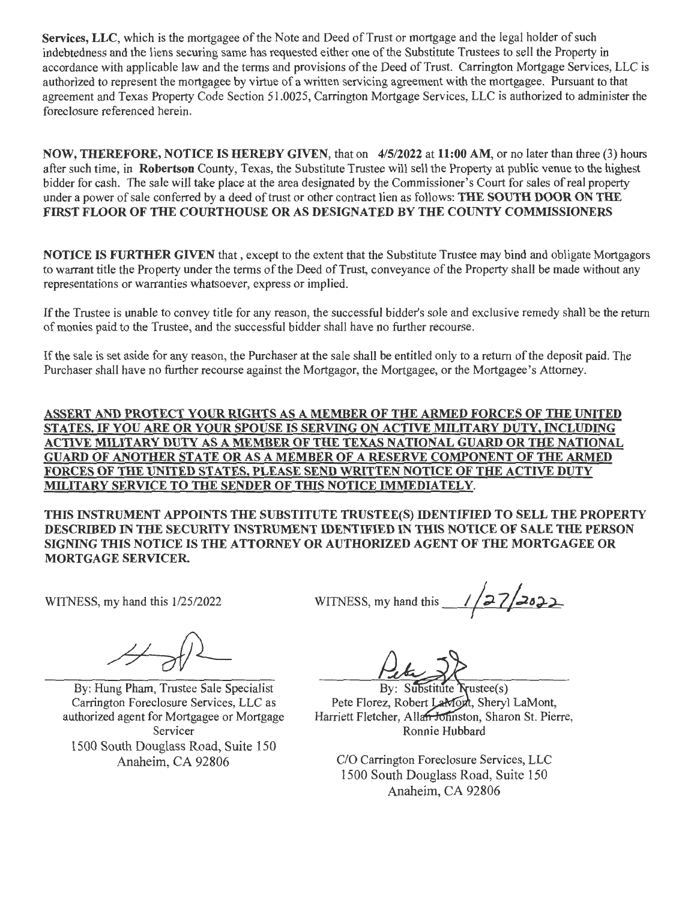**Services, LLC,** which is the mortgagee of the Note and Deed of Trust or mortgage and the legal holder of such indebtedness and the liens securing same has requested either one of the Substitute Trustees to sell the Property in accordance with applicable law and the terms and provisions of the Deed of Trust. Carrington Mortgage Services, LLC is authorized to represent the mortgagee by virtue of a written servicing agreement with the mortgagee. Pursuant to that agreement and Texas Property Code Section 51.0025, Carrington Mortgage Services, LLC is authorized to administer the foreclosure referenced herein.

**NOW, THEREFORE, NOTICE IS HEREBY GIVEN,** that on **4/5/2022** at **11:00 AM,** or no later than three (3) hours after such time, in **Robertson** County, Texas, the Substitute Trustee will sell the Property at public venue to the highest bidder for cash. The sale will take place at the area designated by the Commissioner's Court for sales of real property under a power of sale conferred by a deed of trust or other contract lien as follows: **THE SOUTH DOOR ON THE FIRST FLOOR OF THE COURTHOUSE OR AS DESIGNATED BY THE COUNTY COMMISSIONERS** 

**NOTICE IS FURTHER GIVEN** that , except to the extent that the Substitute Trustee may bind and obligate Mortgagors to warrant title the Property under the terms of the Deed of Trust, conveyance of the Property shall be made without any representations or warranties whatsoever, express or implied.

If the Trustee is unable to convey title for any reason, the successful bidder's sole and exclusive remedy shall be the return of monies paid to the Trustee, and the successful bidder shall have no further recourse.

If the sale is set aside for any reason, the Purchaser at the sale shall be entitled only to a return of the deposit paid. The Purchaser shall have no further recourse against the Mortgagor, the Mortgagee, or the Mortgagee's Attorney.

**ASSERT AND PROTECT YOUR RIGHTS AS A MEMBER OF THE ARMED FORCES OF THE UNITED STATES.** IF **YOU ARE OR YOUR SPOUSE IS SERVING ON ACTIVE MILITARY DUTY, INCLUDING ACTIVE MILITARY DUTY AS A MEMBER OF THE TEXAS NATIONAL GUARD OR THE NATIONAL GUARD OF ANOTHER STATE OR AS A MEMBER OF A RESERVE COMPONENT OF THE ARMED FORCES OF THE UNITED STATES, PLEASE SEND WRITTEN NOTICE OF THE ACTIVE DUTY MILITARY SERVICE TO THE SENDER OF THIS NOTICE IMMEDIATELY.** 

**THIS INSTRUMENT APPOINTS THE SUBSTITUTE TRUSTEE(S) IDENTIFIED TO SELL THE PROPERTY DESCRIBED** IN **THE SECURITY INSTRUMENT IDENTIFIED** IN **TIDS NOTICE OF SALE THE PERSON SIGNING THIS NOTICE IS THE ATTORNEY OR AUTHORIZED AGENT OF THE MORTGAGEE OR MORTGAGE SERVICER.** 

WITNESS, my hand this 1/25/2022

By: Hung Pham, Trustee Sale Specialist Carrington Foreclosure Services, LLC as authorized agent for Mortgagee or Mortgage Servicer 1500 South Douglass Road, Suite 150 Anaheim, CA 92806

WITNESS, my hand this  $\frac{1}{27}$  2022

By: Substitute Trustee(s) Pete Florez, Robert LaMont, Sheryl LaMont, Harriett Fletcher, Allan Johnston, Sharon St. Pierre, Ronnie Hubbard

C/O Carrington Foreclosure Services, LLC 1500 South Douglass Road, Suite 150 Anaheim, CA 92806